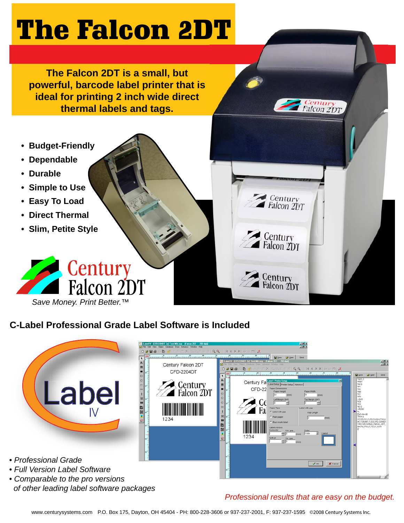## The Falcon 2DT

**The Falcon 2DT is a small, but powerful, barcode label printer that is ideal for printing 2 inch wide direct thermal labels and tags.**

- **Budget-Friendly**
- **Dependable**
- **Durable**
- **Simple to Use**
- **Easy To Load**
- **Direct Thermal**
- **Slim, Petite Style**



**C-Label Professional Grade Label Software is Included**



*Professional results that are easy on the budget.*

Century<br>Falcon 2D1

Century<br>Falcon 2DT

Century<br>Falcon 2DT

Century<br>Falcon 2DT

www.centurysystems.com P.O. Box 175, Dayton, OH 45404 - PH: 800-228-3606 or 937-237-2001, F: 937-237-1595 ©2008 Century Systems Inc.